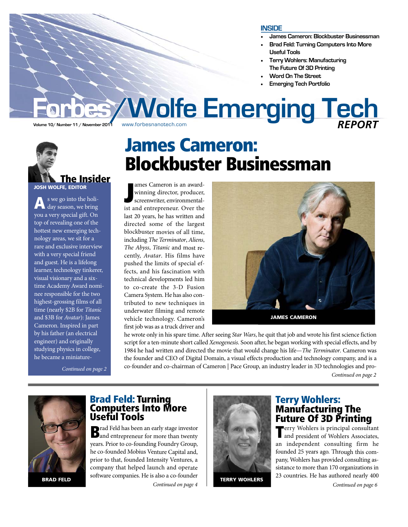#### **INSIDE**

- •**James Cameron: Blockbuster Businessman**
- • **Brad Feld: Turning Computers Into More Useful Tools**
- • **Terry Wohlers: Manufacturing The Future Of 3D Printing**
- •**Word On The Street**
- •**Emerging Tech Portfolio**

# *<b>Forbes/Wolfe Emerging Tech*





s we go into the holiday season, we bring you a very special gift. On top of revealing one of the hottest new emerging technology areas, we sit for a rare and exclusive interview with a very special friend and guest. He is a lifelong learner, technology tinkerer, visual visionary and a sixtime Academy Award nominee responsible for the two highest-grossing films of all time (nearly \$2B for Titanic and \$3B for Avatar): James Cameron. Inspired in part by his father (an electrical engineer) and originally studying physics in college, he became a miniature-

Continued on page 2

James Cameron: Blockbuster Businessman

J ames Cameron is an awardwinning director, producer, screenwriter, environmentalist and entrepreneur. Over the last 20 years, he has written and directed some of the largest blockbuster movies of all time, including The Terminator, Aliens, The Abyss, Titanic and most recently, Avatar. His films have pushed the limits of special effects, and his fascination with technical developments led him to co-create the 3-D Fusion Camera System. He has also contributed to new techniques in underwater filming and remote vehicle technology. Cameron's first job was as a truck driver and



he wrote only in his spare time. After seeing Star Wars, he quit that job and wrote his first science fiction script for a ten-minute short called Xenogenesis. Soon after, he began working with special effects, and by 1984 he had written and directed the movie that would change his life—The Terminator. Cameron was the founder and CEO of Digital Domain, a visual effects production and technology company, and is a co-founder and co-chairman of Cameron | Pace Group, an industry leader in 3D technologies and pro-

Continued on page 2



# **Brad Feld: Turning<br>Computers Into More** Useful Tools

**BRAD FELD** SOLWALE COMPANIES. LE IS ALSO A CO-TOURINER TERRY WOHLERS Brad Feld has been an early stage investor and entrepreneur for more than twenty years. Prior to co-founding Foundry Group, he co-founded Mobius Venture Capital and, prior to that, founded Intensity Ventures, a company that helped launch and operate software companies. He is also a co-founder

Continued on page 4



Terry Wohlers: Manufacturing The **Future Of 3D Printing**<br>**T**erry Wohlers is principal consultant

**Terry Wohlers is principal consultant<br>and president of Wohlers Associates,** an independent consulting firm he founded 25 years ago. Through this company, Wohlers has provided consulting assistance to more than 170 organizations in 23 countries. He has authored nearly 400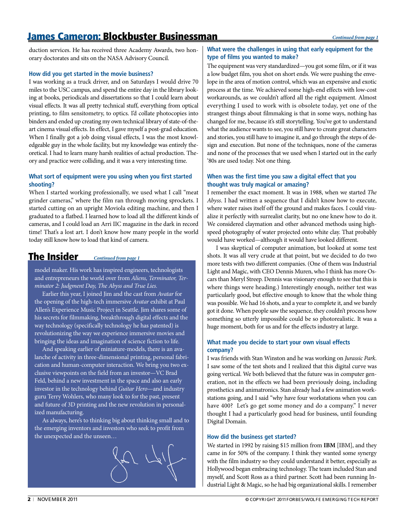# James Cameron: Blockbuster Businessman

duction services. He has received three Academy Awards, two honorary doctorates and sits on the NASA Advisory Council.

#### **How did you get started in the movie business?**

I was working as a truck driver, and on Saturdays I would drive 70 miles to the USC campus, and spend the entire day in the library looking at books, periodicals and dissertations so that I could learn about visual effects. It was all pretty technical stuff, everything from optical printing, to film sensitometry, to optics. I'd collate photocopies into binders and ended up creating my own technical library of state-of-theart cinema visual effects. In effect, I gave myself a post-grad education. When I finally got a job doing visual effects, I was the most knowledgeable guy in the whole facility, but my knowledge was entirely theoretical. I had to learn many harsh realities of actual production. Theory and practice were colliding, and it was a very interesting time.

#### **What sort of equipment were you using when you first started shooting?**

When I started working professionally, we used what I call "meat grinder cameras," where the film ran through moving sprockets. I started cutting on an upright Moviola editing machine, and then I graduated to a flatbed. I learned how to load all the different kinds of cameras, and I could load an Arri IIC magazine in the dark in record time! That's a lost art. I don't know how many people in the world today still know how to load that kind of camera.

## The Insider *Continued from page 1*

model maker. His work has inspired engineers, technologists and entrepreneurs the world over from Aliens, Terminator, Terminator 2: Judgment Day, The Abyss and True Lies.

Earlier this year, I joined Jim and the cast from Avatar for the opening of the high-tech immersive Avatar exhibit at Paul Allen's Experience Music Project in Seattle. Jim shares some of his secrets for filmmaking, breakthrough digital effects and the way technology (specifically technology he has patented) is revolutionizing the way we experience immersive movies and bringing the ideas and imagination of science fiction to life.

And speaking earlier of miniature-models, there is an avalanche of activity in three-dimensional printing, personal fabrication and human-computer interaction. We bring you two exclusive viewpoints on the field from an investor—VC Brad Feld, behind a new investment in the space and also an early investor in the technology behind Guitar Hero—and industry guru Terry Wohlers, who many look to for the past, present and future of 3D printing and the new revolution in personalized manufacturing.

As always, here's to thinking big about thinking small and to the emerging inventors and investors who seek to profit from the unexpected and the unseen…



## **What were the challenges in using that early equipment for the type of films you wanted to make?**

The equipment was very standardized—you got some film, or if it was a low budget film, you shot on short ends. We were pushing the envelope in the area of motion control, which was an expensive and exotic process at the time. We achieved some high-end effects with low-cost workarounds, as we couldn't afford all the right equipment. Almost everything I used to work with is obsolete today, yet one of the strangest things about filmmaking is that in some ways, nothing has changed for me, because it's still storytelling. You've got to understand what the audience wants to see, you still have to create great characters and stories, you still have to imagine it, and go through the steps of design and execution. But none of the techniques, none of the cameras and none of the processes that we used when I started out in the early '80s are used today. Not one thing.

### **When was the first time you saw a digital effect that you thought was truly magical or amazing?**

I remember the exact moment. It was in 1988, when we started The Abyss. I had written a sequence that I didn't know how to execute, where water raises itself off the ground and makes faces. I could visualize it perfectly with surrealist clarity, but no one knew how to do it. We considered claymation and other advanced methods using highspeed photography of water projected onto white clay. That probably would have worked—although it would have looked different.

I was skeptical of computer animation, but looked at some test shots. It was all very crude at that point, but we decided to do two more tests with two different companies. (One of them was Industrial Light and Magic, with CEO Dennis Muren, who I think has more Oscars than Meryl Streep. Dennis was visionary enough to see that this is where things were heading.) Interestingly enough, neither test was particularly good, but effective enough to know that the whole thing was possible. We had 16 shots, and a year to complete it, and we barely got it done. When people saw the sequence, they couldn't process how something so utterly impossible could be so photorealistic. It was a huge moment, both for us and for the effects industry at large.

### **What made you decide to start your own visual effects company?**

I was friends with Stan Winston and he was working on Jurassic Park. I saw some of the test shots and I realized that this digital curve was going vertical. We both believed that the future was in computer generation, not in the effects we had been previously doing, including prosthetics and animatronics. Stan already had a few animation workstations going, and I said "why have four workstations when you can have 400? Let's go get some money and do a company." I never thought I had a particularly good head for business, until founding Digital Domain.

#### **How did the business get started?**

We started in 1992 by raising \$15 million from **IBM** [IBM], and they came in for 50% of the company. I think they wanted some synergy with the film industry so they could understand it better, especially as Hollywood began embracing technology. The team included Stan and myself, and Scott Ross as a third partner. Scott had been running Industrial Light & Magic, so he had big organizational skills. I remember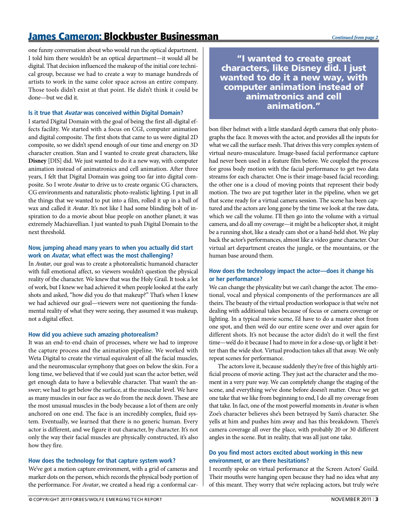# James Cameron: Blockbuster Businessman *Continued from page 2*

one funny conversation about who would run the optical department. I told him there wouldn't be an optical department—it would all be digital. That decision influenced the makeup of the initial core technical group, because we had to create a way to manage hundreds of artists to work in the same color space across an entire company. Those tools didn't exist at that point. He didn't think it could be done—but we did it.

#### **Is it true that Avatar was conceived within Digital Domain?**

I started Digital Domain with the goal of being the first all-digital effects facility. We started with a focus on CGI, computer animation and digital composite. The first shots that came to us were digital 2D composite, so we didn't spend enough of our time and energy on 3D character creation. Stan and I wanted to create great characters, like **Disney** [DIS] did. We just wanted to do it a new way, with computer animation instead of animatronics and cell animation. After three years, I felt that Digital Domain was going too far into digital composite. So I wrote Avatar to drive us to create organic CG characters, CG environments and naturalistic photo-realistic lighting. I put in all the things that we wanted to put into a film, rolled it up in a ball of wax and called it Avatar. It's not like I had some blinding bolt of inspiration to do a movie about blue people on another planet; it was extremely Machiavellian. I just wanted to push Digital Domain to the next threshold.

#### **Now, jumping ahead many years to when you actually did start work on Avatar, what effect was the most challenging?**

In Avatar, our goal was to create a photorealistic humanoid character with full emotional affect, so viewers wouldn't question the physical reality of the character. We knew that was the Holy Grail. It took a lot of work, but I knew we had achieved it when people looked at the early shots and asked, "how did you do that makeup?" That's when I knew we had achieved our goal—viewers were not questioning the fundamental reality of what they were seeing, they assumed it was makeup, not a digital effect.

#### **How did you achieve such amazing photorealism?**

It was an end-to-end chain of processes, where we had to improve the capture process and the animation pipeline. We worked with Weta Digital to create the virtual equivalent of all the facial muscles, and the neuromuscular symphony that goes on below the skin. For a long time, we believed that if we could just scan the actor better, we'd get enough data to have a believable character. That wasn't the answer; we had to get below the surface, at the muscular level. We have as many muscles in our face as we do from the neck down. These are the most unusual muscles in the body because a lot of them are only anchored on one end. The face is an incredibly complex, fluid system. Eventually, we learned that there is no generic human. Every actor is different, and we figure it out character, by character. It's not only the way their facial muscles are physically constructed, it's also how they fire.

#### **How does the technology for that capture system work?**

We've got a motion capture environment, with a grid of cameras and marker dots on the person, which records the physical body portion of the performance. For Avatar, we created a head rig: a conformal car-

"I wanted to create great characters, like Disney did. I just wanted to do it a new way, with computer animation instead of animatronics and cell animation."

bon fiber helmet with a little standard depth camera that only photographs the face. It moves with the actor, and provides all the inputs for what we call the surface mesh. That drives this very complex system of virtual neuro-musculature. Image-based facial performance capture had never been used in a feature film before. We coupled the process for gross body motion with the facial performance to get two data streams for each character. One is their image-based facial recording; the other one is a cloud of moving points that represent their body motion. The two are put together later in the pipeline, when we get that scene ready for a virtual camera session. The scene has been captured and the actors are long gone by the time we look at the raw data, which we call the volume. I'll then go into the volume with a virtual camera, and do all my coverage—it might be a helicopter shot, it might be a running shot, like a steady cam shot or a hand-held shot. We play back the actor's performances, almost like a video game character. Our virtual art department creates the jungle, or the mountains, or the human base around them.

#### **How does the technology impact the actor—does it change his or her performance?**

We can change the physicality but we can't change the actor. The emotional, vocal and physical components of the performances are all theirs. The beauty of the virtual production workspace is that we're not dealing with additional takes because of focus or camera coverage or lighting. In a typical movie scene, I'd have to do a master shot from one spot, and then we'd do our entire scene over and over again for different shots. It's not because the actor didn't do it well the first time—we'd do it because I had to move in for a close-up, or light it better than the wide shot. Virtual production takes all that away. We only repeat scenes for performance.

The actors love it, because suddenly they're free of this highly artificial process of movie acting. They just act the character and the moment in a very pure way. We can completely change the staging of the scene, and everything we've done before doesn't matter. Once we get one take that we like from beginning to end, I do all my coverage from that take. In fact, one of the most powerful moments in Avatar is when Zoe's character believes she's been betrayed by Sam's character. She yells at him and pushes him away and has this breakdown. There's camera coverage all over the place, with probably 20 or 30 different angles in the scene. But in reality, that was all just one take.

#### **Do you find most actors excited about working in this new environment, or are there hesitations?**

I recently spoke on virtual performance at the Screen Actors' Guild. Their mouths were hanging open because they had no idea what any of this meant. They worry that we're replacing actors, but truly we're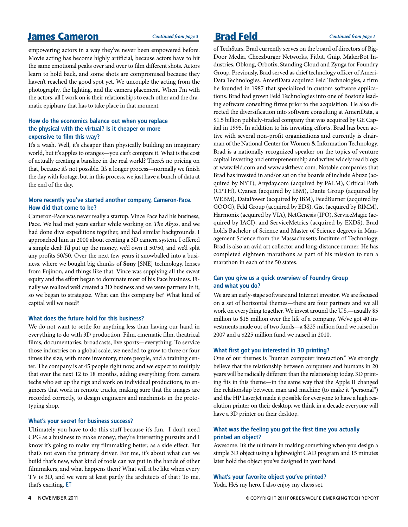# James Cameron **Continued from page 3** Brad Feld *Continued from page 1*

empowering actors in a way they've never been empowered before. Movie acting has become highly artificial, because actors have to hit the same emotional peaks over and over to film different shots. Actors learn to hold back, and some shots are compromised because they haven't reached the good spot yet. We uncouple the acting from the photography, the lighting, and the camera placement. When I'm with the actors, all I work on is their relationships to each other and the dramatic epiphany that has to take place in that moment.

#### **How do the economics balance out when you replace the physical with the virtual? Is it cheaper or more expensive to film this way?**

It's a wash. Well, it's cheaper than physically building an imaginary world, but it's apples to oranges—you can't compare it. What is the cost of actually creating a banshee in the real world? There's no pricing on that, because it's not possible. It's a longer process—normally we finish the day with footage, but in this process, we just have a bunch of data at the end of the day.

#### **More recently you've started another company, Cameron-Pace. How did that come to be?**

Cameron-Pace was never really a startup. Vince Pace had his business, Pace. We had met years earlier while working on The Abyss, and we had done dive expeditions together, and had similar backgrounds. I approached him in 2000 about creating a 3D camera system. I offered a simple deal: I'd put up the money, we'd own it 50/50, and we'd split any profits 50/50. Over the next few years it snowballed into a business, where we bought big chunks of **Sony** [SNE] technology, lenses from Fujinon, and things like that. Vince was supplying all the sweat equity and the effort began to dominate most of his Pace business. Finally we realized we'd created a 3D business and we were partners in it, so we began to strategize. What can this company be? What kind of capital will we need?

#### **What does the future hold for this business?**

We do not want to settle for anything less than having our hand in everything to do with 3D production. Film, cinematic film, theatrical films, documentaries, broadcasts, live sports—everything. To service those industries on a global scale, we needed to grow to three or four times the size, with more inventory, more people, and a training center. The company is at 45 people right now, and we expect to multiply that over the next 12 to 18 months, adding everything from camera techs who set up the rigs and work on individual productions, to engineers that work in remote trucks, making sure that the images are recorded correctly, to design engineers and machinists in the prototyping shop.

#### **What's your secret for business success?**

Ultimately you have to do this stuff because it's fun. I don't need CPG as a business to make money; they're interesting pursuits and I know it's going to make my filmmaking better, as a side effect. But that's not even the primary driver. For me, it's about what can we build that's new, what kind of tools can we put in the hands of other filmmakers, and what happens then? What will it be like when every TV is 3D, and we were at least partly the architects of that? To me, that's exciting. ET

of TechStars. Brad currently serves on the board of directors of Big-Door Media, Cheezburger Networks, Fitbit, Gnip, MakerBot Industries, Oblong, Orbotix, Standing Cloud and Zynga for Foundry Group. Previously, Brad served as chief technology officer of Ameri-Data Technologies. AmeriData acquired Feld Technologies, a firm he founded in 1987 that specialized in custom software applications. Brad had grown Feld Technologies into one of Boston's leading software consulting firms prior to the acquisition. He also directed the diversification into software consulting at AmeriData, a \$1.5 billion publicly-traded company that was acquired by GE Capital in 1995. In addition to his investing efforts, Brad has been active with several non-profit organizations and currently is chairman of the National Center for Women & Information Technology. Brad is a nationally recognized speaker on the topics of venture capital investing and entrepreneurship and writes widely read blogs at www.feld.com and www.askthevc.com. Notable companies that Brad has invested in and/or sat on the boards of include Abuzz (acquired by NYT), Anyday.com (acquired by PALM), Critical Path (CPTH), Cyanea (acquired by IBM), Dante Group (acquired by WEBM), DataPower (acquired by IBM), FeedBurner (acquired by GOOG), Feld Group (acquired by EDS), Gist (acquired by RIMM), Harmonix (acquired by VIA), NetGenesis (IPO), ServiceMagic (acquired by IACI), and ServiceMetrics (acquired by EXDS). Brad holds Bachelor of Science and Master of Science degrees in Management Science from the Massachusetts Institute of Technology. Brad is also an avid art collector and long-distance runner. He has completed eighteen marathons as part of his mission to run a marathon in each of the 50 states.

### **Can you give us a quick overview of Foundry Group and what you do?**

We are an early-stage software and Internet investor. We are focused on a set of horizontal themes—there are four partners and we all work on everything together. We invest around the U.S.—usually \$5 million to \$15 million over the life of a company. We've got 40 investments made out of two funds—a \$225 million fund we raised in 2007 and a \$225 million fund we raised in 2010.

#### **What first got you interested in 3D printing?**

One of our themes is "human computer interaction." We strongly believe that the relationship between computers and humans in 20 years will be radically different than the relationship today. 3D printing fits in this theme—in the same way that the Apple II changed the relationship between man and machine (to make it "personal") and the HP LaserJet made it possible for everyone to have a high resolution printer on their desktop, we think in a decade everyone will have a 3D printer on their desktop.

#### **What was the feeling you got the first time you actually printed an object?**

Awesome. It's the ultimate in making something when you design a simple 3D object using a lightweight CAD program and 15 minutes later hold the object you've designed in your hand.

**What's your favorite object you've printed?**  Yoda. He's my hero. I also enjoy my chess set.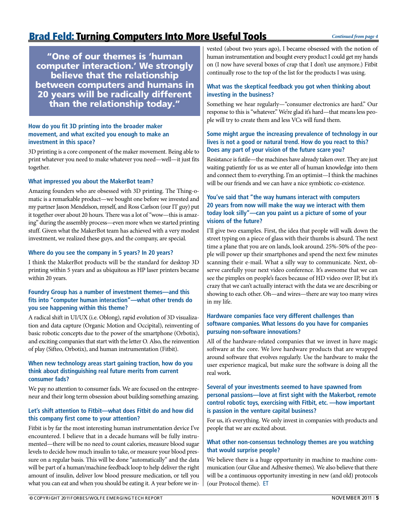# Brad Feld: Turning Computers Into More Useful Tools

"One of our themes is 'human computer interaction.' We strongly believe that the relationship between computers and humans in 20 years will be radically different than the relationship today."

#### **How do you fit 3D printing into the broader maker movement, and what excited you enough to make an investment in this space?**

3D printing is a core component of the maker movement. Being able to print whatever you need to make whatever you need—well—it just fits together.

#### **What impressed you about the MakerBot team?**

Amazing founders who are obsessed with 3D printing. The Thing-omatic is a remarkable product—we bought one before we invested and my partner Jason Mendelson, myself, and Ross Carlson (our IT guy) put it together over about 20 hours. There was a lot of "wow—this is amazing" during the assembly process—even more when we started printing stuff. Given what the MakerBot team has achieved with a very modest investment, we realized these guys, and the company, are special.

#### **Where do you see the company in 5 years? In 20 years?**

I think the MakerBot products will be the standard for desktop 3D printing within 5 years and as ubiquitous as HP laser printers became within 20 years.

#### **Foundry Group has a number of investment themes—and this fits into "computer human interaction"—what other trends do you see happening within this theme?**

A radical shift in UI/UX (i.e. Oblong), rapid evolution of 3D visualization and data capture (Organic Motion and Occipital), reinventing of basic robotic concepts due to the power of the smartphone (Orbotix), and exciting companies that start with the letter O. Also, the reinvention of play (Sifteo, Orbotix), and human instrumentation (Fitbit).

#### **When new technology areas start gaining traction, how do you think about distinguishing real future merits from current consumer fads?**

We pay no attention to consumer fads. We are focused on the entrepreneur and their long term obsession about building something amazing.

#### **Let's shift attention to Fitbit—what does Fitbit do and how did this company first come to your attention?**

Fitbit is by far the most interesting human instrumentation device I've encountered. I believe that in a decade humans will be fully instrumented—there will be no need to count calories, measure blood sugar levels to decide how much insulin to take, or measure your blood pressure on a regular basis. This will be done "automatically" and the data will be part of a human/machine feedback loop to help deliver the right amount of insulin, deliver low blood pressure medication, or tell you what you can eat and when you should be eating it. A year before we in-

vested (about two years ago), I became obsessed with the notion of human instrumentation and bought every product I could get my hands on (I now have several boxes of crap that I don't use anymore.) Fitbit continually rose to the top of the list for the products I was using.

#### **What was the skeptical feedback you got when thinking about investing in the business?**

Something we hear regularly—"consumer electronics are hard." Our response to this is "whatever." We're glad it's hard—that means less people will try to create them and less VCs will fund them.

### **Some might argue the increasing prevalence of technology in our lives is not a good or natural trend. How do you react to this? Does any part of your vision of the future scare you?**

Resistance is futile—the machines have already taken over. They are just waiting patiently for us as we enter all of human knowledge into them and connect them to everything. I'm an optimist—I think the machines will be our friends and we can have a nice symbiotic co-existence.

#### **You've said that "the way humans interact with computers 20 years from now will make the way we interact with them today look silly"—can you paint us a picture of some of your visions of the future?**

I'll give two examples. First, the idea that people will walk down the street typing on a piece of glass with their thumbs is absurd. The next time a plane that you are on lands, look around. 25%-50% of the people will power up their smartphones and spend the next few minutes scanning their e-mail. What a silly way to communicate. Next, observe carefully your next video conference. It's awesome that we can see the pimples on people's faces because of HD video over IP, but it's crazy that we can't actually interact with the data we are describing or showing to each other. Oh—and wires—there are way too many wires in my life.

#### **Hardware companies face very different challenges than software companies. What lessons do you have for companies pursuing non-software innovations?**

All of the hardware-related companies that we invest in have magic software at the core. We love hardware products that are wrapped around software that evolves regularly. Use the hardware to make the user experience magical, but make sure the software is doing all the real work.

#### **Several of your investments seemed to have spawned from personal passions—love at first sight with the Makerbot, remote control robotic toys, exercising with Fitbit, etc. —how important is passion in the venture capital business?**

For us, it's everything. We only invest in companies with products and people that we are excited about.

#### **What other non-consensus technology themes are you watching that would surprise people?**

We believe there is a huge opportunity in machine to machine communication (our Glue and Adhesive themes). We also believe that there will be a continuous opportunity investing in new (and old) protocols (our Protocol theme). ET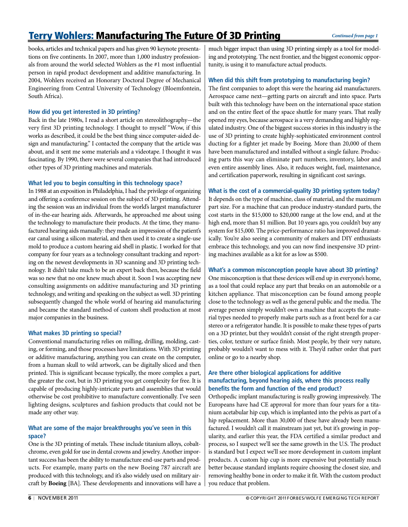# Terry Wohlers: Manufacturing The Future Of 3D Printing

books, articles and technical papers and has given 90 keynote presentations on five continents. In 2007, more than 1,000 industry professionals from around the world selected Wohlers as the #1 most influential person in rapid product development and additive manufacturing. In 2004, Wohlers received an Honorary Doctoral Degree of Mechanical Engineering from Central University of Technology (Bloemfontein, South Africa).

#### **How did you get interested in 3D printing?**

Back in the late 1980s, I read a short article on stereolithography—the very first 3D printing technology. I thought to myself "Wow, if this works as described, it could be the best thing since computer-aided design and manufacturing." I contacted the company that the article was about, and it sent me some materials and a videotape. I thought it was fascinating. By 1990, there were several companies that had introduced other types of 3D printing machines and materials.

#### **What led you to begin consulting in this technology space?**

In 1988 at an exposition in Philadelphia, I had the privilege of organizing and offering a conference session on the subject of 3D printing. Attending the session was an individual from the world's largest manufacturer of in-the-ear hearing aids. Afterwards, he approached me about using the technology to manufacture their products. At the time, they manufactured hearing aids manually: they made an impression of the patient's ear canal using a silicon material, and then used it to create a single-use mold to produce a custom hearing aid shell in plastic. I worked for that company for four years as a technology consultant tracking and reporting on the newest developments in 3D scanning and 3D printing technology. It didn't take much to be an expert back then, because the field was so new that no one knew much about it. Soon I was accepting new consulting assignments on additive manufacturing and 3D printing technology, and writing and speaking on the subject as well. 3D printing subsequently changed the whole world of hearing aid manufacturing and became the standard method of custom shell production at most major companies in the business.

#### **What makes 3D printing so special?**

Conventional manufacturing relies on milling, drilling, molding, casting, or forming, and those processes have limitations. With 3D printing or additive manufacturing, anything you can create on the computer, from a human skull to wild artwork, can be digitally sliced and then printed. This is significant because typically, the more complex a part, the greater the cost, but in 3D printing you get complexity for free. It is capable of producing highly-intricate parts and assemblies that would otherwise be cost prohibitive to manufacture conventionally. I've seen lighting designs, sculptures and fashion products that could not be made any other way.

#### **What are some of the major breakthroughs you've seen in this space?**

One is the 3D printing of metals. These include titanium alloys, cobaltchrome, even gold for use in dental crowns and jewelry. Another important success has been the ability to manufacture end-use parts and products. For example, many parts on the new Boeing 787 aircraft are produced with this technology, and it's also widely used on military aircraft by **Boeing** [BA]. These developments and innovations will have a much bigger impact than using 3D printing simply as a tool for modeling and prototyping. The next frontier, and the biggest economic opportunity, is using it to manufacture actual products.

#### **When did this shift from prototyping to manufacturing begin?**

The first companies to adopt this were the hearing aid manufacturers. Aerospace came next—getting parts on aircraft and into space. Parts built with this technology have been on the international space station and on the entire fleet of the space shuttle for many years. That really opened my eyes, because aerospace is a very demanding and highly regulated industry. One of the biggest success stories in this industry is the use of 3D printing to create highly-sophisticated environment control ducting for a fighter jet made by Boeing. More than 20,000 of them have been manufactured and installed without a single failure. Producing parts this way can eliminate part numbers, inventory, labor and even entire assembly lines. Also, it reduces weight, fuel, maintenance, and certification paperwork, resulting in significant cost savings.

#### **What is the cost of a commercial-quality 3D printing system today?**

It depends on the type of machine, class of material, and the maximum part size. For a machine that can produce industry-standard parts, the cost starts in the \$15,000 to \$20,000 range at the low end, and at the high end, more than \$1 million. But 10 years ago, you couldn't buy any system for \$15,000. The price-performance ratio has improved dramatically. You're also seeing a community of makers and DIY enthusiasts embrace this technology, and you can now find inexpensive 3D printing machines available as a kit for as low as \$500.

#### **What's a common misconception people have about 3D printing?**

One misconception is that these devices will end up in everyone's home, as a tool that could replace any part that breaks on an automobile or a kitchen appliance. That misconception can be found among people close to the technology as well as the general public and the media. The average person simply wouldn't own a machine that accepts the material types needed to properly make parts such as a front bezel for a car stereo or a refrigerator handle. It is possible to make these types of parts on a 3D printer, but they wouldn't consist of the right strength properties, color, texture or surface finish. Most people, by their very nature, probably wouldn't want to mess with it. They'd rather order that part online or go to a nearby shop.

#### **Are there other biological applications for additive manufacturing, beyond hearing aids, where this process really benefits the form and function of the end product?**

Orthopedic implant manufacturing is really growing impressively. The Europeans have had CE approval for more than four years for a titanium acetabular hip cup, which is implanted into the pelvis as part of a hip replacement. More than 30,000 of these have already been manufactured. I wouldn't call it mainstream just yet, but it's growing in popularity, and earlier this year, the FDA certified a similar product and process, so I suspect we'll see the same growth in the U.S. The product is standard but I expect we'll see more development in custom implant products. A custom hip cup is more expensive but potentially much better because standard implants require choosing the closest size, and removing healthy bone in order to make it fit. With the custom product you reduce that problem.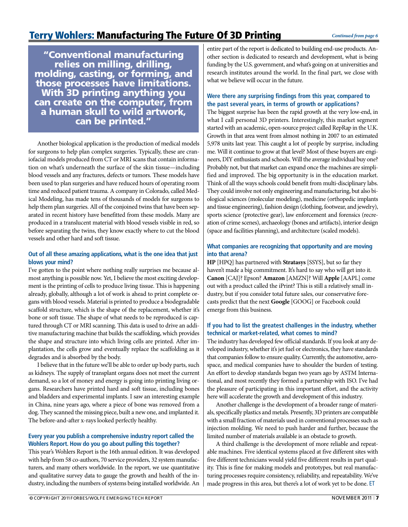"Conventional manufacturing relies on milling, drilling, molding, casting, or forming, and those processes have limitations. With 3D printing anything you can create on the computer, from a human skull to wild artwork, can be printed."

Another biological application is the production of medical models for surgeons to help plan complex surgeries. Typically, these are craniofacial models produced from CT or MRI scans that contain information on what's underneath the surface of the skin tissue—including blood vessels and any fractures, defects or tumors. These models have been used to plan surgeries and have reduced hours of operating room time and reduced patient trauma. A company in Colorado, called Medical Modeling, has made tens of thousands of models for surgeons to help them plan surgeries. All of the conjoined twins that have been separated in recent history have benefitted from these models. Many are produced in a translucent material with blood vessels visible in red, so before separating the twins, they know exactly where to cut the blood vessels and other hard and soft tissue.

### **Out of all these amazing applications, what is the one idea that just blows your mind?**

I've gotten to the point where nothing really surprises me because almost anything is possible now. Yet, I believe the most exciting development is the printing of cells to produce living tissue. This is happening already, globally, although a lot of work is ahead to print complete organs with blood vessels. Material is printed to produce a biodegradable scaffold structure, which is the shape of the replacement, whether it's bone or soft tissue. The shape of what needs to be reproduced is captured through CT or MRI scanning. This data is used to drive an additive manufacturing machine that builds the scaffolding, which provides the shape and structure into which living cells are printed. After implantation, the cells grow and eventually replace the scaffolding as it degrades and is absorbed by the body.

I believe that in the future we'll be able to order up body parts, such as kidneys. The supply of transplant organs does not meet the current demand, so a lot of money and energy is going into printing living organs. Researchers have printed hard and soft tissue, including bones and bladders and experimental implants. I saw an interesting example in China, nine years ago, where a piece of bone was removed from a dog. They scanned the missing piece, built a new one, and implanted it. The before-and-after x-rays looked perfectly healthy.

### **Every year you publish a comprehensive industry report called the Wohlers Report. How do you go about pulling this together?**

This year's Wohlers Report is the 16th annual edition. It was developed with help from 58 co-authors, 70 service providers, 32 system manufacturers, and many others worldwide. In the report, we use quantitative and qualitative survey data to gauge the growth and health of the industry, including the numbers of systems being installed worldwide. An

entire part of the report is dedicated to building end-use products. Another section is dedicated to research and development, what is being funding by the U.S. government, and what's going on at universities and research institutes around the world. In the final part, we close with what we believe will occur in the future.

### **Were there any surprising findings from this year, compared to the past several years, in terms of growth or applications?**

The biggest surprise has been the rapid growth at the very low-end, in what I call personal 3D printers. Interestingly, this market segment started with an academic, open-source project called RepRap in the U.K. Growth in that area went from almost nothing in 2007 to an estimated 5,978 units last year. This caught a lot of people by surprise, including me. Will it continue to grow at that level? Most of these buyers are engineers, DIY enthusiasts and schools. Will the average individual buy one? Probably not, but that market can expand once the machines are simplified and improved. The big opportunity is in the education market. Think of all the ways schools could benefit from multi-disciplinary labs. They could involve not only engineering and manufacturing, but also biological sciences (molecular modeling), medicine (orthopedic implants and tissue engineering), fashion design (clothing, footwear, and jewelry), sports science (protective gear), law enforcement and forensics (recreation of crime scenes), archaeology (bones and artifacts), interior design (space and facilities planning), and architecture (scaled models).

### **What companies are recognizing that opportunity and are moving into that arena?**

**HP** [HPQ] has partnered with **Stratasys** [SSYS], but so far they haven't made a big commitment. It's hard to say who will get into it. **Canon** [CAJ]? Epson? **Amazon** [AMZN]? Will **Apple** [AAPL] come out with a product called the iPrint? This is still a relatively small industry, but if you consider total future sales, our conservative forecasts predict that the next **Google** [GOOG] or Facebook could emerge from this business.

### **If you had to list the greatest challenges in the industry, whether technical or market-related, what comes to mind?**

The industry has developed few official standards. If you look at any developed industry, whether it's jet fuel or electronics, they have standards that companies follow to ensure quality. Currently, the automotive, aerospace, and medical companies have to shoulder the burden of testing. An effort to develop standards began two years ago by ASTM International, and most recently they formed a partnership with ISO. I've had the pleasure of participating in this important effort, and the activity here will accelerate the growth and development of this industry.

Another challenge is the development of a broader range of materials, specifically plastics and metals. Presently, 3D printers are compatible with a small fraction of materials used in conventional processes such as injection molding. We need to push harder and further, because the limited number of materials available is an obstacle to growth.

A third challenge is the development of more reliable and repeatable machines. Five identical systems placed at five different sites with five different technicians would yield five different results in part quality. This is fine for making models and prototypes, but real manufacturing processes require consistency, reliability, and repeatability. We've made progress in this area, but there's a lot of work yet to be done. ET